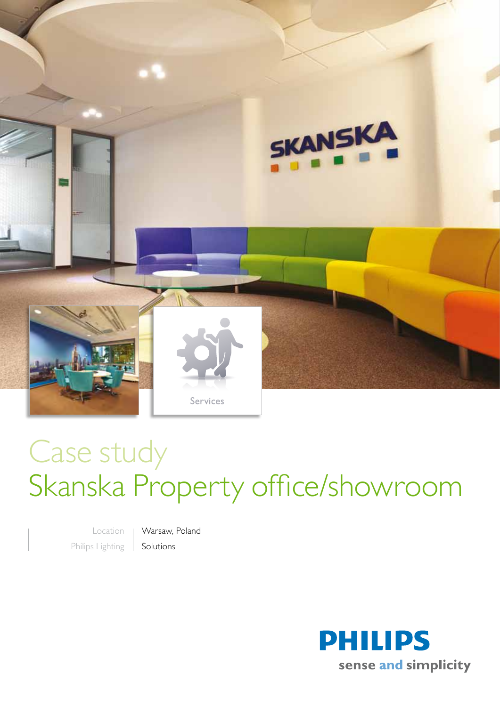

## Case study Skanska Property office/showroom

Location Philips Lighting

Warsaw, Poland Solutions

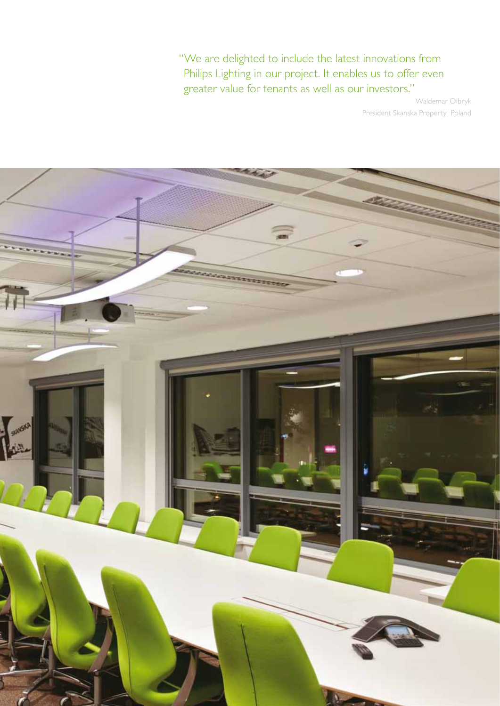"We are delighted to include the latest innovations from Philips Lighting in our project. It enables us to offer even greater value for tenants as well as our investors."

Waldemar Olbryk President Skanska Property Poland

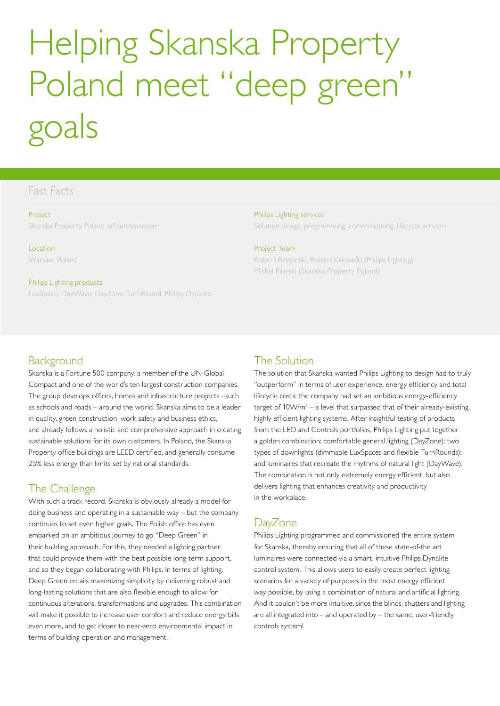# Helping Skanska Property Poland meet "deep green" goals

## Fast Facts

#### Project

Skanska Property Poland office/showroom

Location Warsaw, Poland

#### Philips Lighting products

LuxSpace, DayWave, DayZone, TurnRound, Philips Dynalite

## **Background**

Skanska is a Fortune 500 company, a member of the UN Global Compact and one of the world's ten largest construction companies. The group develops offices, homes and infrastructure projects –such as schools and roads – around the world. Skanska aims to be a leader in quality, green construction, work safety and business ethics, and already follows a holistic and comprehensive approach in creating sustainable solutions for its own customers. In Poland, the Skanska Property office buildings are LEED certified, and generally consume 25% less energy than limits set by national standards.

## The Challenge

With such a track record, Skanska is obviously already a model for doing business and operating in a sustainable way – but the company continues to set even higher goals. The Polish office has even embarked on an ambitious journey to go "Deep Green" in their building approach. For this, they needed a lighting partner that could provide them with the best possible long-term support, and so they began collaborating with Philips. In terms of lighting, Deep Green entails maximizing simplicity by delivering robust and long-lasting solutions that are also flexible enough to allow for continuous alterations, transformations and upgrades. This combination will make it possible to increase user comfort and reduce energy bills even more, and to get closer to near-zero environmental impact in terms of building operation and management.

#### Philips Lighting services

Solution design, programming, commissioning, lifecycle services

#### Project Team

Robert Rzepinski, Robert Karwacki (Philips Lighting) Michal Pilarski (Skanska Property Poland)

## The Solution

The solution that Skanska wanted Philips Lighting to design had to truly "outperform" in terms of user experience, energy efficiency and total lifecycle costs: the company had set an ambitious energy-efficiency target of  $10 \text{W/m}^2$  – a level that surpassed that of their already-existing, highly efficient lighting systems. After insightful testing of products from the LED and Controls portfolios, Philips Lighting put together a golden combination: comfortable general lighting (DayZone); two types of downlights (dimmable LuxSpaces and flexible TurnRounds); and luminaires that recreate the rhythms of natural light (DayWave). The combination is not only extremely energy efficient, but also delivers lighting that enhances creativity and productivity in the workplace.

## **DayZone**

Philips Lighting programmed and commissioned the entire system for Skanska, thereby ensuring that all of these state-of-the art luminaires were connected via a smart, intuitive Philips Dynalite control system. This allows users to easily create perfect lighting scenarios for a variety of purposes in the most energy efficient way possible, by using a combination of natural and artificial lighting. And it couldn't be more intuitive, since the blinds, shutters and lighting are all integrated into – and operated by – the same, user-friendly controls system!